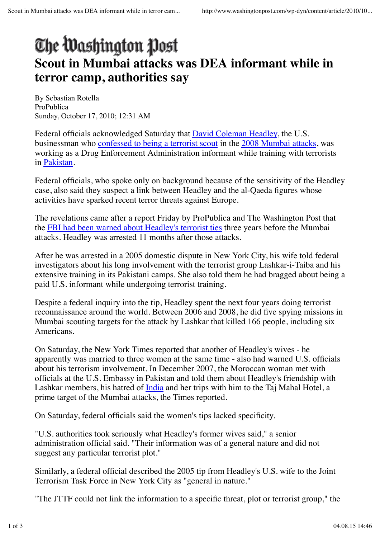## The Washington Post **Scout in Mumbai attacks was DEA informant while in terror camp, authorities say**

By Sebastian Rotella ProPublica Sunday, October 17, 2010; 12:31 AM

Federal officials acknowledged Saturday that David Coleman Headley, the U.S. businessman who confessed to being a terrorist scout in the 2008 Mumbai attacks, was working as a Drug Enforcement Administration informant while training with terrorists in Pakistan.

Federal officials, who spoke only on background because of the sensitivity of the Headley case, also said they suspect a link between Headley and the al-Qaeda figures whose activities have sparked recent terror threats against Europe.

The revelations came after a report Friday by ProPublica and The Washington Post that the FBI had been warned about Headley's terrorist ties three years before the Mumbai attacks. Headley was arrested 11 months after those attacks.

After he was arrested in a 2005 domestic dispute in New York City, his wife told federal investigators about his long involvement with the terrorist group Lashkar-i-Taiba and his extensive training in its Pakistani camps. She also told them he had bragged about being a paid U.S. informant while undergoing terrorist training.

Despite a federal inquiry into the tip, Headley spent the next four years doing terrorist reconnaissance around the world. Between 2006 and 2008, he did five spying missions in Mumbai scouting targets for the attack by Lashkar that killed 166 people, including six Americans.

On Saturday, the New York Times reported that another of Headley's wives - he apparently was married to three women at the same time - also had warned U.S. officials about his terrorism involvement. In December 2007, the Moroccan woman met with officials at the U.S. Embassy in Pakistan and told them about Headley's friendship with Lashkar members, his hatred of India and her trips with him to the Taj Mahal Hotel, a prime target of the Mumbai attacks, the Times reported.

On Saturday, federal officials said the women's tips lacked specificity.

"U.S. authorities took seriously what Headley's former wives said," a senior administration official said. "Their information was of a general nature and did not suggest any particular terrorist plot."

Similarly, a federal official described the 2005 tip from Headley's U.S. wife to the Joint Terrorism Task Force in New York City as "general in nature."

"The JTTF could not link the information to a specific threat, plot or terrorist group," the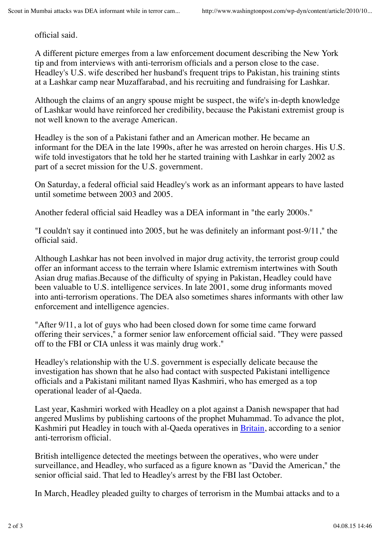official said.

A different picture emerges from a law enforcement document describing the New York tip and from interviews with anti-terrorism officials and a person close to the case. Headley's U.S. wife described her husband's frequent trips to Pakistan, his training stints at a Lashkar camp near Muzaffarabad, and his recruiting and fundraising for Lashkar.

Although the claims of an angry spouse might be suspect, the wife's in-depth knowledge of Lashkar would have reinforced her credibility, because the Pakistani extremist group is not well known to the average American.

Headley is the son of a Pakistani father and an American mother. He became an informant for the DEA in the late 1990s, after he was arrested on heroin charges. His U.S. wife told investigators that he told her he started training with Lashkar in early 2002 as part of a secret mission for the U.S. government.

On Saturday, a federal official said Headley's work as an informant appears to have lasted until sometime between 2003 and 2005.

Another federal official said Headley was a DEA informant in "the early 2000s."

"I couldn't say it continued into 2005, but he was definitely an informant post-9/11," the official said.

Although Lashkar has not been involved in major drug activity, the terrorist group could offer an informant access to the terrain where Islamic extremism intertwines with South Asian drug mafias.Because of the difficulty of spying in Pakistan, Headley could have been valuable to U.S. intelligence services. In late 2001, some drug informants moved into anti-terrorism operations. The DEA also sometimes shares informants with other law enforcement and intelligence agencies.

"After 9/11, a lot of guys who had been closed down for some time came forward offering their services," a former senior law enforcement official said. "They were passed off to the FBI or CIA unless it was mainly drug work."

Headley's relationship with the U.S. government is especially delicate because the investigation has shown that he also had contact with suspected Pakistani intelligence officials and a Pakistani militant named Ilyas Kashmiri, who has emerged as a top operational leader of al-Qaeda.

Last year, Kashmiri worked with Headley on a plot against a Danish newspaper that had angered Muslims by publishing cartoons of the prophet Muhammad. To advance the plot, Kashmiri put Headley in touch with al-Qaeda operatives in Britain, according to a senior anti-terrorism official.

British intelligence detected the meetings between the operatives, who were under surveillance, and Headley, who surfaced as a figure known as "David the American," the senior official said. That led to Headley's arrest by the FBI last October.

In March, Headley pleaded guilty to charges of terrorism in the Mumbai attacks and to a